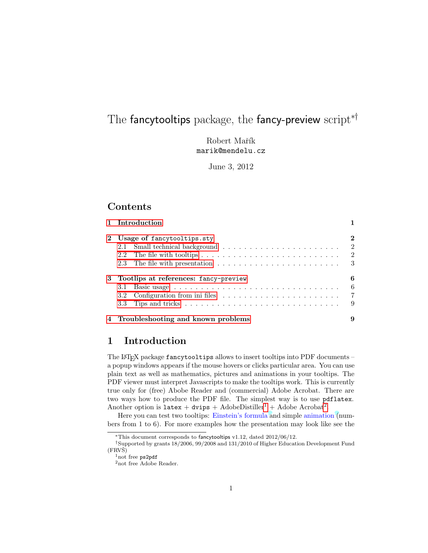# The fancytooltips package, the fancy-preview script<sup>∗†</sup>

Robert Mařík marik@mendelu.cz

June 3, 2012

# Contents

| 1 Introduction                                                                                                               |                               |
|------------------------------------------------------------------------------------------------------------------------------|-------------------------------|
| 2 Usage of fancytooltips.sty                                                                                                 | 2<br>-2<br>-2                 |
| 3 Tootlips at references: fancy-preview<br>3.2 Configuration from inities $\ldots \ldots \ldots \ldots \ldots \ldots \ldots$ | 6<br>6<br>$\overline{7}$<br>9 |
| 4 Troubleshooting and known problems                                                                                         | 9                             |

# <span id="page-0-0"></span>1 Introduction

The L<sup>A</sup>TEX package fancytooltips allows to insert tooltips into PDF documents – a popup windows appears if the mouse hovers or clicks particular area. You can use plain text as well as mathematics, pictures and animations in your tooltips. The PDF viewer must interpret Javascripts to make the tooltips work. This is currently true only for (free) Abobe Reader and (commercial) Adobe Acrobat. There are two ways how to produce the PDF file. The simplest way is to use pdflatex. Another option is  $\texttt{latex} + \texttt{divips} + \text{AdobeDistiller}^1 + \text{Adobe Acrobat}^2$  $\texttt{latex} + \texttt{divips} + \text{AdobeDistiller}^1 + \text{Adobe Acrobat}^2$  $\texttt{latex} + \texttt{divips} + \text{AdobeDistiller}^1 + \text{Adobe Acrobat}^2$  $\texttt{latex} + \texttt{divips} + \text{AdobeDistiller}^1 + \text{Adobe Acrobat}^2$ .

Here you can test two tooltips: Einstein's formula and simple animation (numbers from 1 to 6). For more examples how the presentation may look like see the

<sup>∗</sup>This document corresponds to fancytooltips v1.12, dated 2012/06/12.

<sup>†</sup>Supported by grants 18/2006, 99/2008 and 131/2010 of Higher Education Development Fund  $(FRVS)$ 

<span id="page-0-1"></span><sup>&</sup>lt;sup>1</sup>not free ps2pdf

<span id="page-0-2"></span> $^2\!$  not free Adobe Reader.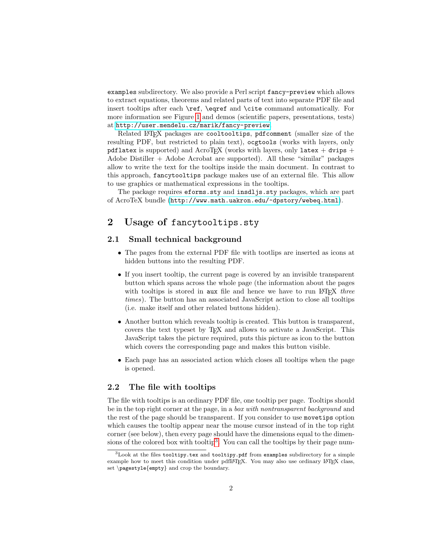examples subdirectory. We also provide a Perl script fancy-preview which allows to extract equations, theorems and related parts of text into separate PDF file and insert tooltips after each \ref, \eqref and \cite command automatically. For more information see Figure [1](#page-5-2) and demos (scientific papers, presentations, tests) at <http://user.mendelu.cz/marik/fancy-preview>.

Related L<sup>A</sup>TEX packages are cooltooltips, pdfcomment (smaller size of the resulting PDF, but restricted to plain text), ocgtools (works with layers, only pdflatex is supported) and AcroTEX (works with layers, only latex + dvips + Adobe Distiller + Adobe Acrobat are supported). All these "similar" packages allow to write the text for the tooltips inside the main document. In contrast to this approach, fancytooltips package makes use of an external file. This allow to use graphics or mathematical expressions in the tooltips.

The package requires eforms.sty and insdljs.sty packages, which are part of AcroTeX bundle (<http://www.math.uakron.edu/~dpstory/webeq.html>).

# <span id="page-1-0"></span>2 Usage of fancytooltips.sty

### <span id="page-1-1"></span>2.1 Small technical background

- The pages from the external PDF file with tootlips are inserted as icons at hidden buttons into the resulting PDF.
- If you insert tooltip, the current page is covered by an invisible transparent button which spans across the whole page (the information about the pages with tooltips is stored in aux file and hence we have to run  $\mathbb{L}\mathrm{Tr} X$  three times). The button has an associated JavaScript action to close all tooltips (i.e. make itself and other related buttons hidden).
- Another button which reveals tooltip is created. This button is transparent, covers the text typeset by TEX and allows to activate a JavaScript. This JavaScript takes the picture required, puts this picture as icon to the button which covers the corresponding page and makes this button visible.
- Each page has an associated action which closes all tooltips when the page is opened.

### <span id="page-1-2"></span>2.2 The file with tooltips

The file with tooltips is an ordinary PDF file, one tooltip per page. Tooltips should be in the top right corner at the page, in a *box with nontransparent background* and the rest of the page should be transparent. If you consider to use movetips option which causes the tooltip appear near the mouse cursor instead of in the top right corner (see below), then every page should have the dimensions equal to the dimen-sions of the colored box with tooltip<sup>[3](#page-1-3)</sup>. You can call the tooltips by their page num-

<span id="page-1-3"></span><sup>3</sup>Look at the files tooltipy.tex and tooltipy.pdf from examples subdirectory for a simple example how to meet this condition under pdfLATEX. You may also use ordinary LATEX class, set \pagestyle{empty} and crop the boundary.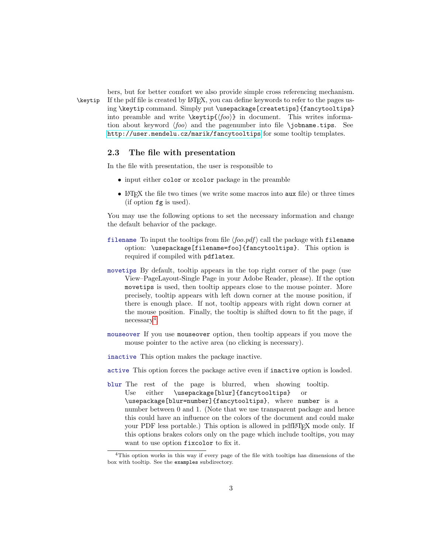bers, but for better comfort we also provide simple cross referencing mechanism. \keytip If the pdf file is created by L<sup>A</sup>TEX, you can define keywords to refer to the pages using \keytip command. Simply put \usepackage[createtips]{fancytooltips} into preamble and write  $\key{f(foo)}$  in document. This writes information about keyword  $\langle f \circ \omega \rangle$  and the pagenumber into file \jobname.tips. See <http://user.mendelu.cz/marik/fancytooltips> for some tooltip templates.

### <span id="page-2-0"></span>2.3 The file with presentation

In the file with presentation, the user is responsible to

- input either color or xcolor package in the preamble
- L<sup>A</sup>TEX the file two times (we write some macros into aux file) or three times (if option fg is used).

You may use the following options to set the necessary information and change the default behavior of the package.

- filename To input the tooltips from file  $\langle f \circ o. p df \rangle$  call the package with filename option: \usepackage[filename=foo]{fancytooltips}. This option is required if compiled with pdflatex.
- movetips By default, tooltip appears in the top right corner of the page (use View–PageLayout-Single Page in your Adobe Reader, please). If the option movetips is used, then tooltip appears close to the mouse pointer. More precisely, tooltip appears with left down corner at the mouse position, if there is enough place. If not, tooltip appears with right down corner at the mouse position. Finally, the tooltip is shifted down to fit the page, if necessary<sup>[4](#page-2-1)</sup>.
- mouseover If you use mouseover option, then tooltip appears if you move the mouse pointer to the active area (no clicking is necessary).
- inactive This option makes the package inactive.
- active This option forces the package active even if inactive option is loaded.
- blur The rest of the page is blurred, when showing tooltip. Use either \usepackage[blur]{fancytooltips} or \usepackage[blur=number]{fancytooltips}, where number is a number between 0 and 1. (Note that we use transparent package and hence this could have an influence on the colors of the document and could make your PDF less portable.) This option is allowed in pdfL<sup>AT</sup>FX mode only. If this options brakes colors only on the page which include tooltips, you may want to use option fixcolor to fix it.

<span id="page-2-1"></span><sup>4</sup>This option works in this way if every page of the file with tooltips has dimensions of the box with tooltip. See the examples subdirectory.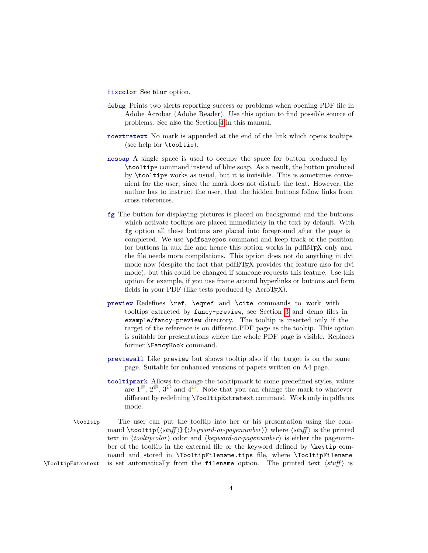fixcolor See blur option.

- debug Prints two alerts reporting success or problems when opening PDF file in Adobe Acrobat (Adobe Reader). Use this option to find possible source of problems. See also the Section [4](#page-8-1) in this manual.
- noextratext No mark is appended at the end of the link which opens tooltips (see help for \tooltip).
- nosoap A single space is used to occupy the space for button produced by \tooltip\* command instead of blue soap. As a result, the button produced by \tooltip\* works as usual, but it is invisible. This is sometimes convenient for the user, since the mark does not disturb the text. However, the author has to instruct the user, that the hidden buttons follow links from cross references.
- fg The button for displaying pictures is placed on background and the buttons which activate tooltips are placed immediately in the text by default. With fg option all these buttons are placed into foreground after the page is completed. We use \pdfsavepos command and keep track of the position for buttons in aux file and hence this option works in pdfLAT<sub>EX</sub> only and the file needs more compilations. This option does not do anything in dvi mode now (despite the fact that pdfLAT<sub>EX</sub> provides the feature also for dvi mode), but this could be changed if someone requests this feature. Use this option for example, if you use frame around hyperlinks or buttons and form fields in your PDF (like tests produced by  $AcroT<sub>F</sub>X$ ).
- preview Redefines \ref, \eqref and \cite commands to work with tooltips extracted by fancy-preview, see Section [3](#page-5-0) and demo files in example/fancy-preview directory. The tooltip is inserted only if the target of the reference is on different PDF page as the tooltip. This option is suitable for presentations where the whole PDF page is visible. Replaces former \FancyHook command.
- previewall Like preview but shows tooltip also if the target is on the same page. Suitable for enhanced versions of papers written on A4 page.
- tooltipmark Allows to change the tooltipmark to some predefined styles, values are  $1^{\circ}$ ,  $2^{\circ}$ ,  $3^{\circ}$  and  $4^{\circ}$ . Note that you can change the mark to whatever different by redefining \TooltipExtratext command. Work only in pdflatex mode.
- \tooltip The user can put the tooltip into her or his presentation using the command \tooltip{ $\{stuff\}$ }{ $\{keyword-or-pagenumber\}$ } where  $\{stuff\}$  is the printed text in  $\langle$ *tooltipcolor* $\rangle$  color and  $\langle$ *keyword-or-pagenumber* $\rangle$  is either the pagenumber of the tooltip in the external file or the keyword defined by \keytip command and stored in \TooltipFilename.tips file, where \TooltipFilename \TooltipExtratext is set automatically from the filename option. The printed text  $\langle \textit{stuff} \rangle$  is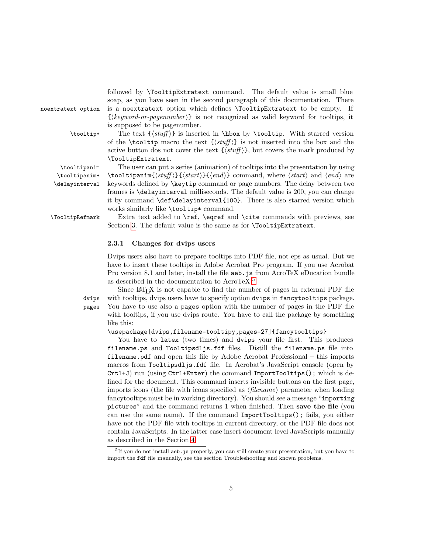followed by \TooltipExtratext command. The default value is small blue soap, as you have seen in the second paragraph of this documentation. There noextratext option is a noextratext option which defines \TooltipExtratext to be empty. If  $\{\langle keyword\text{-}or\text{-}pagenumber\}\}\$ is not recognized as valid keyword for tooltips, it is supposed to be pagenumber.  $\to \tbotip*$  The text  $\{stuff\}$  is inserted in \hbox by \tooltip. With starred version of the \tooltip macro the text  $\{\langle stuff \rangle\}$  is not inserted into the box and the active button dos not cover the text  $\{\langle \textit{stuff} \rangle\}$ , but covers the mark produced by \TooltipExtratext. \tooltipanim The user can put a series (animation) of tooltips into the presentation by using \tooltipanim\* \tooltipanim{ $\{stat\}$ }{ $\{start\}$ } command, where  $\{start\}$  and  $\{end\}$  are

\delayinterval keywords defined by \keytip command or page numbers. The delay between two frames is \delayinterval milliseconds. The default value is 200, you can change it by command \def\delayinterval{100}. There is also starred version which works similarly like \tooltip\* command.

\TooltipRefmark Extra text added to \ref, \eqref and \cite commands with previews, see Section [3.](#page-5-0) The default value is the same as for \TooltipExtratext.

#### 2.3.1 Changes for dvips users

Dvips users also have to prepare tooltips into PDF file, not eps as usual. But we have to insert these tooltips in Adobe Acrobat Pro program. If you use Acrobat Pro version 8.1 and later, install the file aeb.js from AcroTeX eDucation bundle as described in the documentation to AcroTeX.[5](#page-4-0)

Since L<sup>A</sup>TEX is not capable to find the number of pages in external PDF file dvips with tooltips, dvips users have to specify option dvips in fancytooltips package. pages You have to use also a pages option with the number of pages in the PDF file with tooltips, if you use dvips route. You have to call the package by something like this:

\usepackage[dvips,filename=tooltipy,pages=27]{fancytooltips}

You have to latex (two times) and dvips your file first. This produces filename.ps and Tooltipsdljs.fdf files. Distill the filename.ps file into filename.pdf and open this file by Adobe Acrobat Professional – this imports macros from Tooltipsdljs.fdf file. In Acrobat's JavaScript console (open by Crtl+J) run (using Ctrl+Enter) the command ImportTooltips(); which is defined for the document. This command inserts invisible buttons on the first page, imports icons (the file with icons specified as  $\langle$  filename<sub>i</sub> parameter when loading fancytooltips must be in working directory). You should see a message "importing pictures" and the command returns 1 when finished. Then save the file (you can use the same name). If the command ImportTooltips(); fails, you either have not the PDF file with tooltips in current directory, or the PDF file does not contain JavaScripts. In the latter case insert document level JavaScripts manually as described in the Section [4.](#page-8-1)

<span id="page-4-0"></span><sup>&</sup>lt;sup>5</sup>If you do not install aeb. js properly, you can still create your presentation, but you have to import the fdf file manually, see the section Troubleshooting and known problems.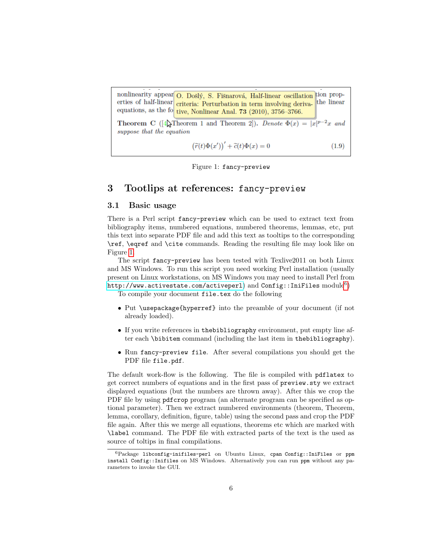nonlinearity appear O. Došlý, S. Fišnarová, Half-linear oscillation tion properties of half-linear criteria: Perturbation in term involving deriva- the linear equations, as the fo tive, Nonlinear Anal. 73 (2010),  $3756-3766$ .

**Theorem C** ([4] Theorem 1 and Theorem 2]). Denote  $\Phi(x) = |x|^{p-2}x$  and suppose that the equation

$$
(\widetilde{r}(t)\Phi(x'))' + \widetilde{c}(t)\Phi(x) = 0
$$
\n(1.9)

<span id="page-5-2"></span>Figure 1: fancy-preview

## <span id="page-5-0"></span>3 Tootlips at references: fancy-preview

#### <span id="page-5-1"></span>3.1 Basic usage

There is a Perl script fancy-preview which can be used to extract text from bibliography items, numbered equations, numbered theorems, lemmas, etc, put this text into separate PDF file and add this text as tooltips to the corresponding \ref, \eqref and \cite commands. Reading the resulting file may look like on Figure [1.](#page-5-2)

The script fancy-preview has been tested with Texlive2011 on both Linux and MS Windows. To run this script you need working Perl installation (usually present on Linux workstations, on MS Windows you may need to install Perl from <code><http://www.activestate.com/activeperl></code> ) and  $\texttt{Config::Inifiles} \text{ module}^6)$  $\texttt{Config::Inifiles} \text{ module}^6)$  $\texttt{Config::Inifiles} \text{ module}^6)$ 

To compile your document file.tex do the following

- Put \usepackage{hyperref} into the preamble of your document (if not already loaded).
- If you write references in thebibliography environment, put empty line after each \bibitem command (including the last item in thebibliography).
- Run fancy-preview file. After several compilations you should get the PDF file file.pdf.

The default work-flow is the following. The file is compiled with pdflatex to get correct numbers of equations and in the first pass of preview.sty we extract displayed equations (but the numbers are thrown away). After this we crop the PDF file by using pdfcrop program (an alternate program can be specified as optional parameter). Then we extract numbered environments (theorem, Theorem, lemma, corollary, definition, figure, table) using the second pass and crop the PDF file again. After this we merge all equations, theorems etc which are marked with \label command. The PDF file with extracted parts of the text is the used as source of toltips in final compilations.

<span id="page-5-3"></span> ${}^{6}$ Package libconfig-inifiles-perl on Ubuntu Linux, cpan Config::IniFiles or ppm install Config::Inifiles on MS Windows. Alternatively you can run ppm without any parameters to invoke the GUI.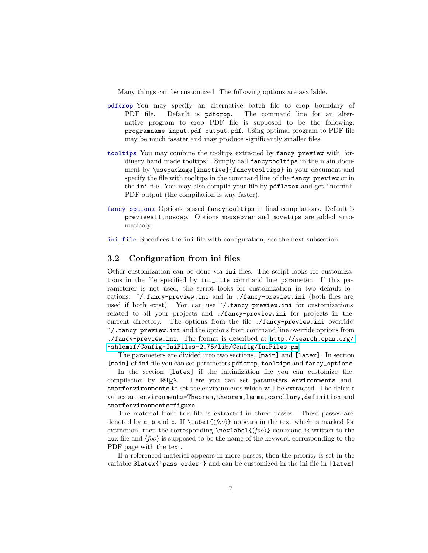Many things can be customized. The following options are available.

- pdfcrop You may specify an alternative batch file to crop boundary of PDF file. Default is pdfcrop. The command line for an alternative program to crop PDF file is supposed to be the following: programname input.pdf output.pdf. Using optimal program to PDF file may be much fasater and may produce significantly smaller files.
- tooltips You may combine the tooltips extracted by fancy-preview with "ordinary hand made tooltips". Simply call fancytooltips in the main document by \usepackage[inactive]{fancytooltips} in your document and specify the file with tooltips in the command line of the fancy-preview or in the ini file. You may also compile your file by pdflatex and get "normal" PDF output (the compilation is way faster).
- fancy options Options passed fancytooltips in final compilations. Default is previewall,nosoap. Options mouseover and movetips are added automaticaly.
- ini file Specifices the ini file with configuration, see the next subsection.

### <span id="page-6-0"></span>3.2 Configuration from ini files

Other customization can be done via ini files. The script looks for customizations in the file specified by ini\_file command line parameter. If this parameterer is not used, the script looks for customization in two default locations: ~/.fancy-preview.ini and in ./fancy-preview.ini (both files are used if both exist). You can use  $\gamma$ .fancy-preview.ini for customizations related to all your projects and ./fancy-preview.ini for projects in the current directory. The options from the file ./fancy-preview.ini override ~/.fancy-preview.ini and the options from command line override options from ./fancy-preview.ini. The format is described at [http://search.cpan.org/](http://search.cpan.org/~shlomif/Config-IniFiles-2.75/lib/Config/IniFiles.pm) [~shlomif/Config-IniFiles-2.75/lib/Config/IniFiles.pm](http://search.cpan.org/~shlomif/Config-IniFiles-2.75/lib/Config/IniFiles.pm).

The parameters are divided into two sections, [main] and [latex]. In section [main] of ini file you can set parameters pdfcrop, tooltips and fancy\_options.

In the section [latex] if the initialization file you can customize the compilation by L<sup>A</sup>TEX. Here you can set parameters environments and snarfenvironments to set the environments which will be extracted. The default values are environments=Theorem,theorem,lemma,corollary,definition and snarfenvironments=figure.

The material from tex file is extracted in three passes. These passes are denoted by a, b and c. If  $\label{homo}$  appears in the text which is marked for extraction, then the corresponding  $\newcommand{\f}{foo}{\newcommand{\f}{o}$  command is written to the aux file and  $\langle f \circ \phi \rangle$  is supposed to be the name of the keyword corresponding to the PDF page with the text.

If a referenced material appears in more passes, then the priority is set in the variable \$latex{'pass\_order'} and can be customized in the ini file in [latex]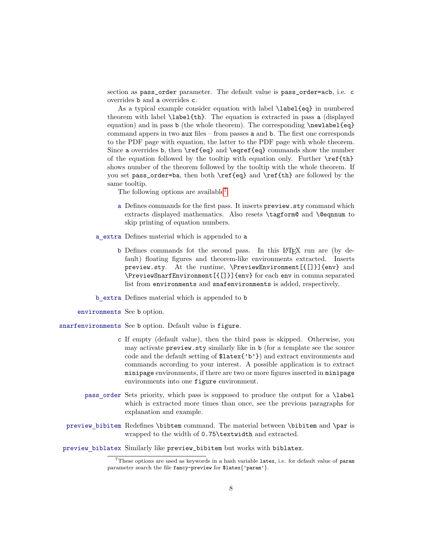section as pass\_order parameter. The default value is pass\_order=acb, i.e. c overrides b and a overrides c.

As a typical example consider equation with label \label{eq} in numbered theorem with label \label{th}. The equation is extracted in pass a (displayed equation) and in pass b (the whole theorem). The corresponding \newlabel{eq} command appers in two aux files – from passes a and b. The first one corresponds to the PDF page with equation, the latter to the PDF page with whole theorem. Since a overrides b, then \ref{eq} and \eqref{eq} commands show the number of the equation followed by the tooltip with equation only. Further  $\ref{th}$ shows number of the theorem followed by the tooltip with the whole theorem. If you set pass\_order=ba, then both \ref{eq} and \ref{th} are followed by the same tooltip.

The following options are available<sup>[7](#page-7-0)</sup>.

- a Defines commands for the first pass. It inserts preview.sty command which extracts displayed mathematics. Also resets \tagform@ and \@eqnnum to skip printing of equation numbers.
- a extra Defines material which is appended to a
	- b Defines commands fot the second pass. In this L<sup>A</sup>TEX run are (by default) floating figures and theorem-like environments extracted. Inserts preview.sty. At the runtime, \PreviewEnvironment[{[]}]{env} and \PreviewSnarfEnvironment[{[]}]{env} for each env in comma separated list from environments and snafenvironments is added, respectively.
- b extra Defines material which is appended to b
- environments See b option.
- snarfenvironments See b option. Default value is figure.
	- c If empty (default value), then the third pass is skipped. Otherwise, you may activate preview.sty similarly like in b (for a template see the source code and the default setting of \$latex{'b'}) and extract environments and commands according to your interest. A possible application is to extract minipage environments, if there are two or more figures inserted in minipage environments into one figure environment.
	- pass order Sets priority, which pass is supposed to produce the output for a \label which is extracted more times than once, see the previous paragraphs for explanation and example.
	- preview bibitem Redefines \bibtem command. The material between \bibitem and \par is wrapped to the width of 0.75\textwidth and extracted.

preview biblatex Similarly like preview\_bibitem but works with biblatex.

<span id="page-7-0"></span><sup>7</sup>These options are used as keywords in a hash variable latex, i.e. for default value of param parameter search the file fancy-preview for \$latex{'param'}.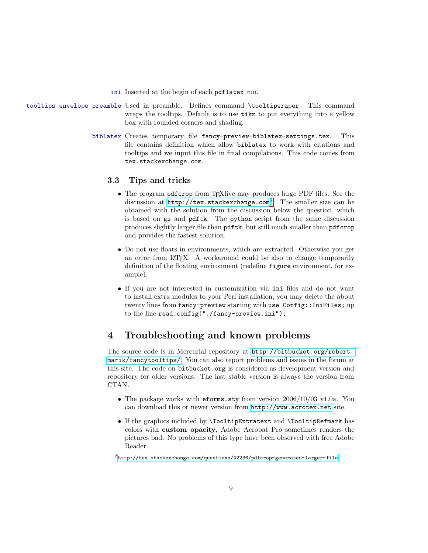ini Inserted at the begin of each pdflatex run.

- tooltips envelope preamble Used in preamble. Defines command \tooltipwraper. This command wraps the tooltips. Default is to use tikz to put everything into a yellow box with rounded corners and shading.
	- biblatex Creates temporary file fancy-preview-biblatex-settings.tex. This file contains definition which allow biblatex to work with citations and tooltips and we input this file in final compilations. This code comes from tex.stackexchange.com.

### <span id="page-8-0"></span>3.3 Tips and tricks

- The program pdfcrop from TEXlive may produces large PDF files. See the discussion at  $http://tex.stackexchange.com<sup>8</sup>.$  $http://tex.stackexchange.com<sup>8</sup>.$  $http://tex.stackexchange.com<sup>8</sup>.$  $http://tex.stackexchange.com<sup>8</sup>.$  The smaller size can be obtained with the solution from the discussion below the question, which is based on gs and pdftk. The python script from the same discussion produces slightly larger file than pdftk, but still much smaller than pdfcrop and provides the fastest solution.
- Do not use floats in environments, which are extracted. Otherwise you get an error from L<sup>AT</sup><sub>E</sub>X. A workaround could be also to change temporarily definition of the floating environment (redefine figure environment, for example).
- If you are not interested in customization via ini files and do not want to install extra modules to your Perl installation, you may delete the about twenty lines from fancy-preview starting with use Config::IniFiles; up to the line read\_config("./fancy-preview.ini");

# <span id="page-8-1"></span>4 Troubleshooting and known problems

The source code is in Mercurial repository at [http://bitbucket.org/robert.](http://bitbucket.org/robert.marik/fancytooltips/) [marik/fancytooltips/](http://bitbucket.org/robert.marik/fancytooltips/). You can also report problems and issues in the forum at this site. The code on bitbucket.org is considered as development version and repository for older versions. The last stable version is always the version from CTAN.

- The package works with eforms.sty from version 2006/10/03 v1.0a. You can download this or newer version from <http://www.acrotex.net> site.
- If the graphics included by \TooltipExtratext and \TooltipRefmark has colors with custom opacity, Adobe Acrobat Pro sometimes renders the pictures bad. No problems of this type have been observed with free Adobe Reader.

<span id="page-8-2"></span> $8$ <http://tex.stackexchange.com/questions/42236/pdfcrop-generates-larger-file>